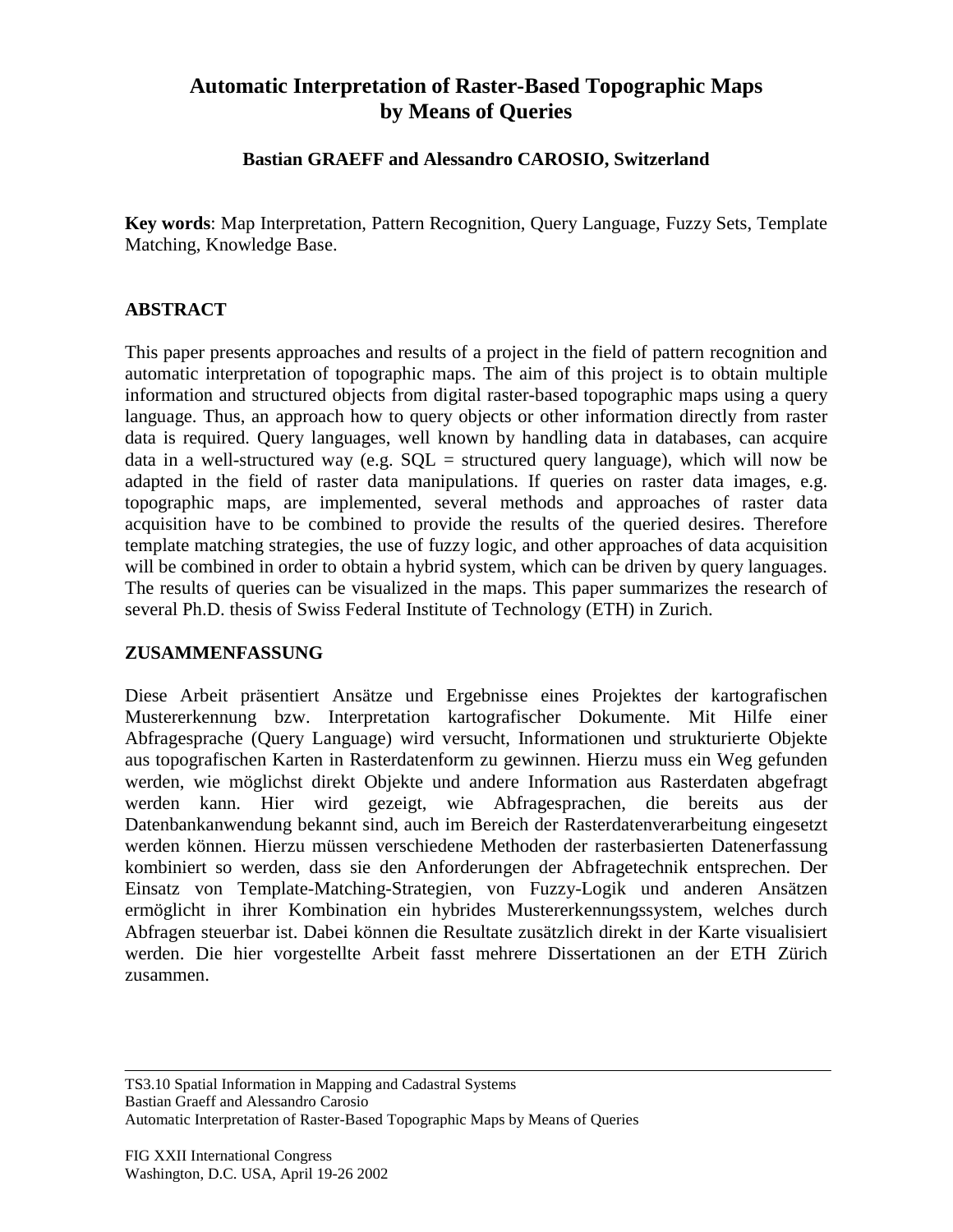# **Automatic Interpretation of Raster-Based Topographic Maps by Means of Queries**

#### **Bastian GRAEFF and Alessandro CAROSIO, Switzerland**

**Key words**: Map Interpretation, Pattern Recognition, Query Language, Fuzzy Sets, Template Matching, Knowledge Base.

## **ABSTRACT**

This paper presents approaches and results of a project in the field of pattern recognition and automatic interpretation of topographic maps. The aim of this project is to obtain multiple information and structured objects from digital raster-based topographic maps using a query language. Thus, an approach how to query objects or other information directly from raster data is required. Query languages, well known by handling data in databases, can acquire data in a well-structured way (e.g.  $SQL = structured$  query language), which will now be adapted in the field of raster data manipulations. If queries on raster data images, e.g. topographic maps, are implemented, several methods and approaches of raster data acquisition have to be combined to provide the results of the queried desires. Therefore template matching strategies, the use of fuzzy logic, and other approaches of data acquisition will be combined in order to obtain a hybrid system, which can be driven by query languages. The results of queries can be visualized in the maps. This paper summarizes the research of several Ph.D. thesis of Swiss Federal Institute of Technology (ETH) in Zurich.

#### **ZUSAMMENFASSUNG**

Diese Arbeit präsentiert Ansätze und Ergebnisse eines Projektes der kartografischen Mustererkennung bzw. Interpretation kartografischer Dokumente. Mit Hilfe einer Abfragesprache (Query Language) wird versucht, Informationen und strukturierte Objekte aus topografischen Karten in Rasterdatenform zu gewinnen. Hierzu muss ein Weg gefunden werden, wie möglichst direkt Objekte und andere Information aus Rasterdaten abgefragt werden kann. Hier wird gezeigt, wie Abfragesprachen, die bereits aus der Datenbankanwendung bekannt sind, auch im Bereich der Rasterdatenverarbeitung eingesetzt werden können. Hierzu müssen verschiedene Methoden der rasterbasierten Datenerfassung kombiniert so werden, dass sie den Anforderungen der Abfragetechnik entsprechen. Der Einsatz von Template-Matching-Strategien, von Fuzzy-Logik und anderen Ansätzen ermöglicht in ihrer Kombination ein hybrides Mustererkennungssystem, welches durch Abfragen steuerbar ist. Dabei können die Resultate zusätzlich direkt in der Karte visualisiert werden. Die hier vorgestellte Arbeit fasst mehrere Dissertationen an der ETH Zürich zusammen.

TS3.10 Spatial Information in Mapping and Cadastral Systems Bastian Graeff and Alessandro Carosio Automatic Interpretation of Raster-Based Topographic Maps by Means of Queries